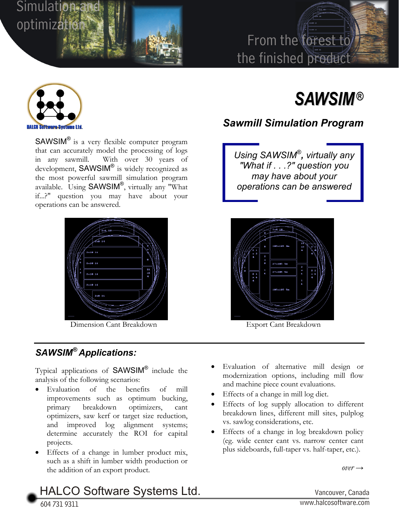

## From the forest to the finished product



SAWSIM® is a very flexible computer program that can accurately model the processing of logs in any sawmill. With over 30 years of development, SAWSIM® is widely recognized as the most powerful sawmill simulation program available. Using SAWSIM®, virtually any "What if...?" question you may have about your operations can be answered.



Dimension Cant Breakdown Export Cant Breakdown

## *SAWSIM® Applications:*

Typical applications of SAWSIM® include the analysis of the following scenarios:

- Evaluation of the benefits of mill improvements such as optimum bucking, primary breakdown optimizers, cant optimizers, saw kerf or target size reduction, and improved log alignment systems; determine accurately the ROI for capital projects.
- Effects of a change in lumber product mix, such as a shift in lumber width production or the addition of an export product.

# *SAWSIM®*

## *Sawmill Simulation Program*

*Using SAWSIM®, virtually any "What if . . .?" question you may have about your operations can be answered*



- Evaluation of alternative mill design or modernization options, including mill flow and machine piece count evaluations.
- Effects of a change in mill log diet.
- Effects of log supply allocation to different breakdown lines, different mill sites, pulplog vs. sawlog considerations, etc.
- Effects of a change in log breakdown policy (eg. wide center cant vs. narrow center cant plus sideboards, full-taper vs. half-taper, etc.).

 $over \rightarrow$ 

## HALCO Software Systems Ltd. Vancouver, Canada